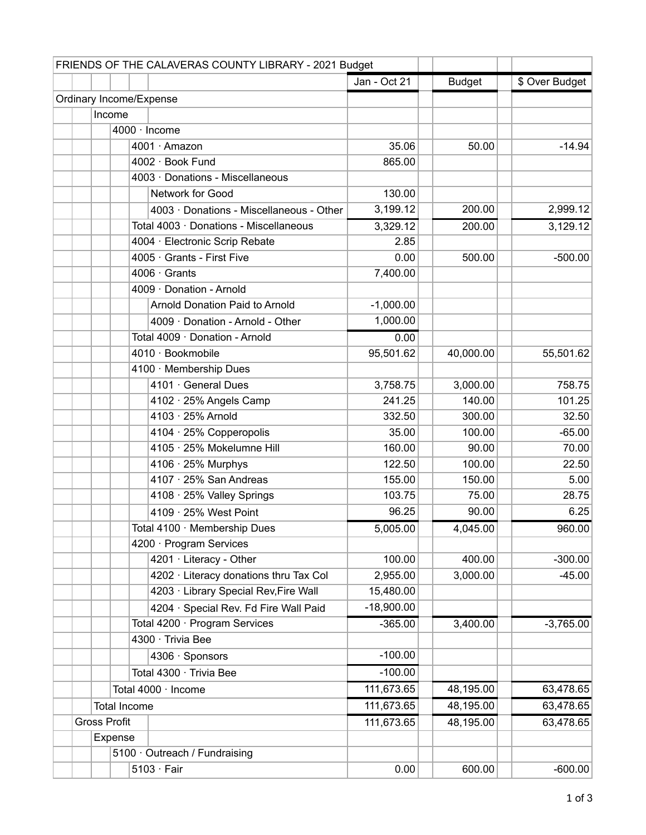| FRIENDS OF THE CALAVERAS COUNTY LIBRARY - 2021 Budget |  |  |                     |                                          |              |               |                |
|-------------------------------------------------------|--|--|---------------------|------------------------------------------|--------------|---------------|----------------|
|                                                       |  |  |                     |                                          | Jan - Oct 21 | <b>Budget</b> | \$ Over Budget |
|                                                       |  |  |                     | Ordinary Income/Expense                  |              |               |                |
|                                                       |  |  | Income              |                                          |              |               |                |
|                                                       |  |  |                     | 4000 · Income                            |              |               |                |
|                                                       |  |  |                     | 4001 · Amazon                            | 35.06        | 50.00         | $-14.94$       |
|                                                       |  |  |                     | 4002 · Book Fund                         | 865.00       |               |                |
|                                                       |  |  |                     | 4003 · Donations - Miscellaneous         |              |               |                |
|                                                       |  |  |                     | Network for Good                         | 130.00       |               |                |
|                                                       |  |  |                     | 4003 · Donations - Miscellaneous - Other | 3,199.12     | 200.00        | 2,999.12       |
|                                                       |  |  |                     | Total 4003 · Donations - Miscellaneous   | 3,329.12     | 200.00        | 3,129.12       |
|                                                       |  |  |                     | 4004 · Electronic Scrip Rebate           | 2.85         |               |                |
|                                                       |  |  |                     | 4005 · Grants - First Five               | 0.00         | 500.00        | $-500.00$      |
|                                                       |  |  |                     | $4006 \cdot$ Grants                      | 7,400.00     |               |                |
|                                                       |  |  |                     | 4009 · Donation - Arnold                 |              |               |                |
|                                                       |  |  |                     | <b>Arnold Donation Paid to Arnold</b>    | $-1,000.00$  |               |                |
|                                                       |  |  |                     | 4009 · Donation - Arnold - Other         | 1,000.00     |               |                |
|                                                       |  |  |                     | Total 4009 · Donation - Arnold           | 0.00         |               |                |
|                                                       |  |  |                     | 4010 · Bookmobile                        | 95,501.62    | 40,000.00     | 55,501.62      |
|                                                       |  |  |                     | 4100 · Membership Dues                   |              |               |                |
|                                                       |  |  |                     | 4101 · General Dues                      | 3,758.75     | 3,000.00      | 758.75         |
|                                                       |  |  |                     | 4102 · 25% Angels Camp                   | 241.25       | 140.00        | 101.25         |
|                                                       |  |  |                     | 4103 · 25% Arnold                        | 332.50       | 300.00        | 32.50          |
|                                                       |  |  |                     | 4104 · 25% Copperopolis                  | 35.00        | 100.00        | $-65.00$       |
|                                                       |  |  |                     | 4105 · 25% Mokelumne Hill                | 160.00       | 90.00         | 70.00          |
|                                                       |  |  |                     | 4106 · 25% Murphys                       | 122.50       | 100.00        | 22.50          |
|                                                       |  |  |                     | $4107 \cdot 25\%$ San Andreas            | 155.00       | 150.00        | 5.00           |
|                                                       |  |  |                     | 4108 · 25% Valley Springs                | 103.75       | 75.00         | 28.75          |
|                                                       |  |  |                     | 4109 · 25% West Point                    | 96.25        | 90.00         | 6.25           |
|                                                       |  |  |                     | Total 4100 · Membership Dues             | 5,005.00     | 4,045.00      | 960.00         |
|                                                       |  |  |                     | 4200 · Program Services                  |              |               |                |
|                                                       |  |  |                     | 4201 · Literacy - Other                  | 100.00       | 400.00        | $-300.00$      |
|                                                       |  |  |                     | 4202 · Literacy donations thru Tax Col   | 2,955.00     | 3,000.00      | $-45.00$       |
|                                                       |  |  |                     | 4203 · Library Special Rev, Fire Wall    | 15,480.00    |               |                |
|                                                       |  |  |                     | 4204 · Special Rev. Fd Fire Wall Paid    | $-18,900.00$ |               |                |
|                                                       |  |  |                     | Total 4200 · Program Services            | $-365.00$    | 3,400.00      | $-3,765.00$    |
|                                                       |  |  |                     | 4300 · Trivia Bee                        |              |               |                |
|                                                       |  |  |                     | 4306 · Sponsors                          | $-100.00$    |               |                |
|                                                       |  |  |                     | Total 4300 · Trivia Bee                  | $-100.00$    |               |                |
|                                                       |  |  |                     | Total 4000 · Income                      | 111,673.65   | 48,195.00     | 63,478.65      |
|                                                       |  |  | <b>Total Income</b> |                                          | 111,673.65   | 48,195.00     | 63,478.65      |
|                                                       |  |  | <b>Gross Profit</b> |                                          | 111,673.65   | 48,195.00     | 63,478.65      |
|                                                       |  |  | Expense             |                                          |              |               |                |
|                                                       |  |  |                     | 5100 · Outreach / Fundraising            |              |               |                |
|                                                       |  |  |                     | $5103 \cdot Fair$                        | 0.00         | 600.00        | $-600.00$      |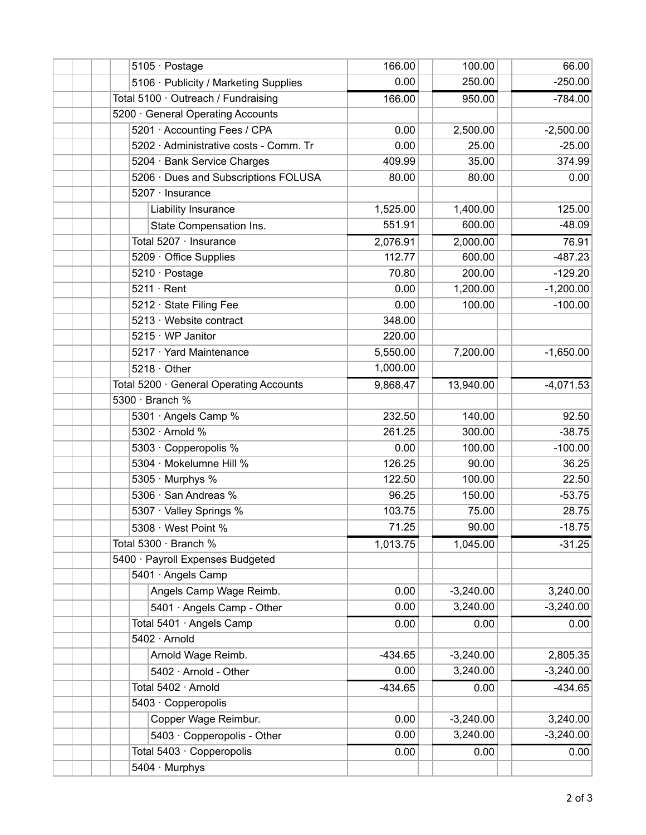|  | 5105 · Postage                          |           | 100.00      | 66.00       |
|--|-----------------------------------------|-----------|-------------|-------------|
|  | 5106 · Publicity / Marketing Supplies   | 0.00      | 250.00      | $-250.00$   |
|  | Total 5100 · Outreach / Fundraising     | 166.00    | 950.00      | $-784.00$   |
|  | 5200 · General Operating Accounts       |           |             |             |
|  | 5201 · Accounting Fees / CPA            | 0.00      | 2,500.00    | $-2,500.00$ |
|  | 5202 · Administrative costs - Comm. Tr  | 0.00      | 25.00       | $-25.00$    |
|  | 5204 · Bank Service Charges             | 409.99    | 35.00       | 374.99      |
|  | 5206 · Dues and Subscriptions FOLUSA    | 80.00     | 80.00       | 0.00        |
|  | 5207 · Insurance                        |           |             |             |
|  | Liability Insurance                     | 1,525.00  | 1,400.00    | 125.00      |
|  | State Compensation Ins.                 | 551.91    | 600.00      | $-48.09$    |
|  | Total 5207 · Insurance                  | 2,076.91  | 2,000.00    | 76.91       |
|  | 5209 Office Supplies                    | 112.77    | 600.00      | $-487.23$   |
|  | 5210 · Postage                          | 70.80     | 200.00      | $-129.20$   |
|  | $5211 \cdot$ Rent                       | 0.00      | 1,200.00    | $-1,200.00$ |
|  | 5212 · State Filing Fee                 | 0.00      | 100.00      | $-100.00$   |
|  | 5213 · Website contract                 | 348.00    |             |             |
|  | 5215 · WP Janitor                       | 220.00    |             |             |
|  | 5217 · Yard Maintenance                 | 5,550.00  | 7,200.00    | $-1,650.00$ |
|  | $5218 \cdot$ Other                      | 1,000.00  |             |             |
|  | Total 5200 · General Operating Accounts | 9,868.47  | 13,940.00   | $-4,071.53$ |
|  | 5300 · Branch %                         |           |             |             |
|  | 5301 · Angels Camp %                    | 232.50    | 140.00      | 92.50       |
|  | 5302 · Arnold %                         | 261.25    | 300.00      | $-38.75$    |
|  | 5303 · Copperopolis %                   | 0.00      | 100.00      | $-100.00$   |
|  | 5304 · Mokelumne Hill %                 | 126.25    | 90.00       | 36.25       |
|  | 5305 · Murphys %                        | 122.50    | 100.00      | 22.50       |
|  | 5306 · San Andreas %                    | 96.25     | 150.00      | $-53.75$    |
|  | 5307 · Valley Springs %                 | 103.75    | 75.00       | 28.75       |
|  | 5308 · West Point %                     | 71.25     | 90.00       | $-18.75$    |
|  | Total 5300 · Branch %                   |           | 1,045.00    | $-31.25$    |
|  | 5400 · Payroll Expenses Budgeted        |           |             |             |
|  | 5401 · Angels Camp                      |           |             |             |
|  | Angels Camp Wage Reimb.                 | 0.00      | $-3,240.00$ | 3,240.00    |
|  | 5401 · Angels Camp - Other              | 0.00      | 3,240.00    | $-3,240.00$ |
|  | Total 5401 · Angels Camp                | 0.00      | 0.00        | 0.00        |
|  | 5402 · Arnold                           |           |             |             |
|  | Arnold Wage Reimb.                      | $-434.65$ | $-3,240.00$ | 2,805.35    |
|  | 5402 · Arnold - Other                   | 0.00      | 3,240.00    | $-3,240.00$ |
|  | Total 5402 · Arnold                     | $-434.65$ | 0.00        | $-434.65$   |
|  | 5403 · Copperopolis                     |           |             |             |
|  | Copper Wage Reimbur.                    | 0.00      | $-3,240.00$ | 3,240.00    |
|  | 5403 · Copperopolis - Other             | 0.00      | 3,240.00    | $-3,240.00$ |
|  | Total 5403 · Copperopolis               | 0.00      | 0.00        | 0.00        |
|  | 5404 · Murphys                          |           |             |             |